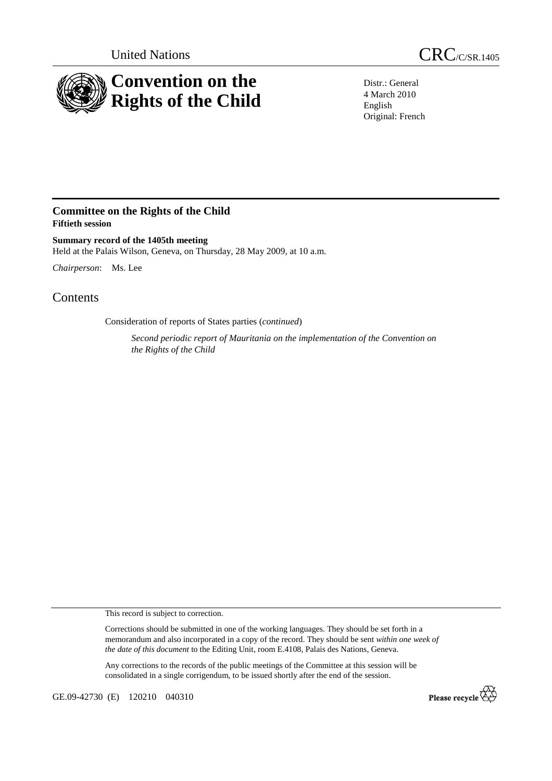



Distr.: General 4 March 2010 English Original: French

## **Committee on the Rights of the Child Fiftieth session**

**Summary record of the 1405th meeting**  Held at the Palais Wilson, Geneva, on Thursday, 28 May 2009, at 10 a.m.

*Chairperson*: Ms. Lee

## **Contents**

Consideration of reports of States parties (*continued*)

*Second periodic report of Mauritania on the implementation of the Convention on the Rights of the Child* 

This record is subject to correction.

Corrections should be submitted in one of the working languages. They should be set forth in a memorandum and also incorporated in a copy of the record. They should be sent *within one week of the date of this document* to the Editing Unit, room E.4108, Palais des Nations, Geneva.

Any corrections to the records of the public meetings of the Committee at this session will be consolidated in a single corrigendum, to be issued shortly after the end of the session.

GE.09-42730 (E) 120210 040310

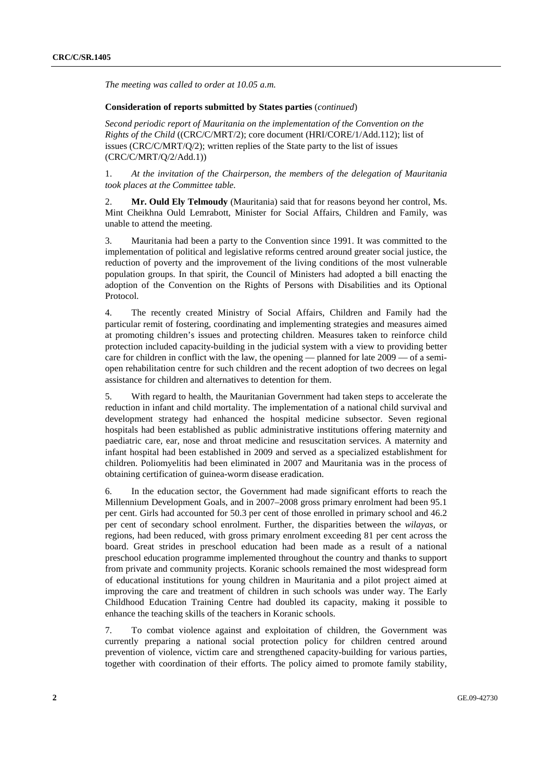*The meeting was called to order at 10.05 a.m.* 

## **Consideration of reports submitted by States parties** (*continued*)

*Second periodic report of Mauritania on the implementation of the Convention on the Rights of the Child* ((CRC/C/MRT/2); core document (HRI/CORE/1/Add.112); list of issues (CRC/C/MRT/Q/2); written replies of the State party to the list of issues (CRC/C/MRT/Q/2/Add.1))

1. *At the invitation of the Chairperson, the members of the delegation of Mauritania took places at the Committee table.* 

2. **Mr. Ould Ely Telmoudy** (Mauritania) said that for reasons beyond her control, Ms. Mint Cheikhna Ould Lemrabott, Minister for Social Affairs, Children and Family, was unable to attend the meeting.

3. Mauritania had been a party to the Convention since 1991. It was committed to the implementation of political and legislative reforms centred around greater social justice, the reduction of poverty and the improvement of the living conditions of the most vulnerable population groups. In that spirit, the Council of Ministers had adopted a bill enacting the adoption of the Convention on the Rights of Persons with Disabilities and its Optional Protocol.

4. The recently created Ministry of Social Affairs, Children and Family had the particular remit of fostering, coordinating and implementing strategies and measures aimed at promoting children's issues and protecting children. Measures taken to reinforce child protection included capacity-building in the judicial system with a view to providing better care for children in conflict with the law, the opening — planned for late 2009 — of a semiopen rehabilitation centre for such children and the recent adoption of two decrees on legal assistance for children and alternatives to detention for them.

5. With regard to health, the Mauritanian Government had taken steps to accelerate the reduction in infant and child mortality. The implementation of a national child survival and development strategy had enhanced the hospital medicine subsector. Seven regional hospitals had been established as public administrative institutions offering maternity and paediatric care, ear, nose and throat medicine and resuscitation services. A maternity and infant hospital had been established in 2009 and served as a specialized establishment for children. Poliomyelitis had been eliminated in 2007 and Mauritania was in the process of obtaining certification of guinea-worm disease eradication.

6. In the education sector, the Government had made significant efforts to reach the Millennium Development Goals, and in 2007–2008 gross primary enrolment had been 95.1 per cent. Girls had accounted for 50.3 per cent of those enrolled in primary school and 46.2 per cent of secondary school enrolment. Further, the disparities between the *wilayas*, or regions, had been reduced, with gross primary enrolment exceeding 81 per cent across the board. Great strides in preschool education had been made as a result of a national preschool education programme implemented throughout the country and thanks to support from private and community projects. Koranic schools remained the most widespread form of educational institutions for young children in Mauritania and a pilot project aimed at improving the care and treatment of children in such schools was under way. The Early Childhood Education Training Centre had doubled its capacity, making it possible to enhance the teaching skills of the teachers in Koranic schools.

7. To combat violence against and exploitation of children, the Government was currently preparing a national social protection policy for children centred around prevention of violence, victim care and strengthened capacity-building for various parties, together with coordination of their efforts. The policy aimed to promote family stability,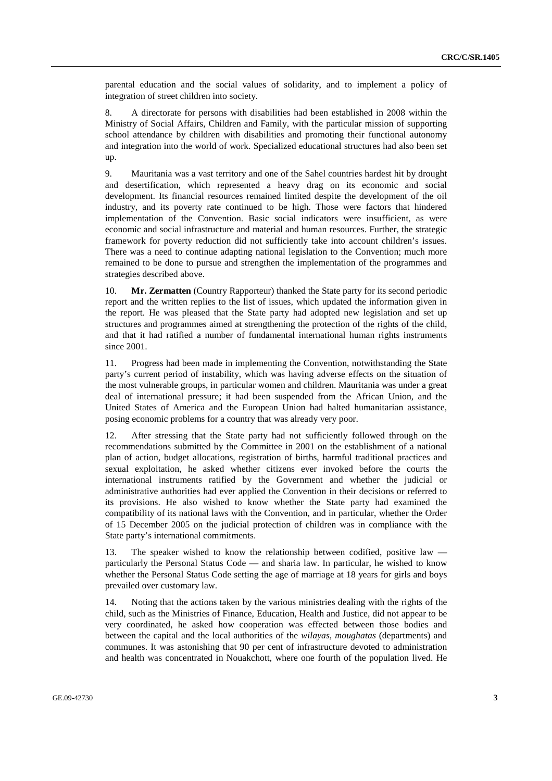parental education and the social values of solidarity, and to implement a policy of integration of street children into society.

8. A directorate for persons with disabilities had been established in 2008 within the Ministry of Social Affairs, Children and Family, with the particular mission of supporting school attendance by children with disabilities and promoting their functional autonomy and integration into the world of work. Specialized educational structures had also been set up.

9. Mauritania was a vast territory and one of the Sahel countries hardest hit by drought and desertification, which represented a heavy drag on its economic and social development. Its financial resources remained limited despite the development of the oil industry, and its poverty rate continued to be high. Those were factors that hindered implementation of the Convention. Basic social indicators were insufficient, as were economic and social infrastructure and material and human resources. Further, the strategic framework for poverty reduction did not sufficiently take into account children's issues. There was a need to continue adapting national legislation to the Convention; much more remained to be done to pursue and strengthen the implementation of the programmes and strategies described above.

10. **Mr. Zermatten** (Country Rapporteur) thanked the State party for its second periodic report and the written replies to the list of issues, which updated the information given in the report. He was pleased that the State party had adopted new legislation and set up structures and programmes aimed at strengthening the protection of the rights of the child, and that it had ratified a number of fundamental international human rights instruments since 2001.

11. Progress had been made in implementing the Convention, notwithstanding the State party's current period of instability, which was having adverse effects on the situation of the most vulnerable groups, in particular women and children. Mauritania was under a great deal of international pressure; it had been suspended from the African Union, and the United States of America and the European Union had halted humanitarian assistance, posing economic problems for a country that was already very poor.

12. After stressing that the State party had not sufficiently followed through on the recommendations submitted by the Committee in 2001 on the establishment of a national plan of action, budget allocations, registration of births, harmful traditional practices and sexual exploitation, he asked whether citizens ever invoked before the courts the international instruments ratified by the Government and whether the judicial or administrative authorities had ever applied the Convention in their decisions or referred to its provisions. He also wished to know whether the State party had examined the compatibility of its national laws with the Convention, and in particular, whether the Order of 15 December 2005 on the judicial protection of children was in compliance with the State party's international commitments.

13. The speaker wished to know the relationship between codified, positive law particularly the Personal Status Code — and sharia law. In particular, he wished to know whether the Personal Status Code setting the age of marriage at 18 years for girls and boys prevailed over customary law.

14. Noting that the actions taken by the various ministries dealing with the rights of the child, such as the Ministries of Finance, Education, Health and Justice, did not appear to be very coordinated, he asked how cooperation was effected between those bodies and between the capital and the local authorities of the *wilayas*, *moughatas* (departments) and communes. It was astonishing that 90 per cent of infrastructure devoted to administration and health was concentrated in Nouakchott, where one fourth of the population lived. He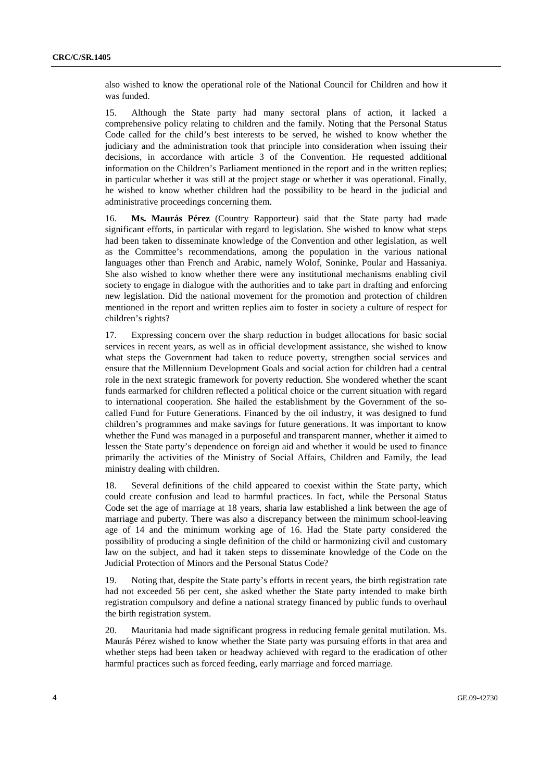also wished to know the operational role of the National Council for Children and how it was funded.

15. Although the State party had many sectoral plans of action, it lacked a comprehensive policy relating to children and the family. Noting that the Personal Status Code called for the child's best interests to be served, he wished to know whether the judiciary and the administration took that principle into consideration when issuing their decisions, in accordance with article 3 of the Convention. He requested additional information on the Children's Parliament mentioned in the report and in the written replies; in particular whether it was still at the project stage or whether it was operational. Finally, he wished to know whether children had the possibility to be heard in the judicial and administrative proceedings concerning them.

16. **Ms. Maurás Pérez** (Country Rapporteur) said that the State party had made significant efforts, in particular with regard to legislation. She wished to know what steps had been taken to disseminate knowledge of the Convention and other legislation, as well as the Committee's recommendations, among the population in the various national languages other than French and Arabic, namely Wolof, Soninke, Poular and Hassaniya. She also wished to know whether there were any institutional mechanisms enabling civil society to engage in dialogue with the authorities and to take part in drafting and enforcing new legislation. Did the national movement for the promotion and protection of children mentioned in the report and written replies aim to foster in society a culture of respect for children's rights?

17. Expressing concern over the sharp reduction in budget allocations for basic social services in recent years, as well as in official development assistance, she wished to know what steps the Government had taken to reduce poverty, strengthen social services and ensure that the Millennium Development Goals and social action for children had a central role in the next strategic framework for poverty reduction. She wondered whether the scant funds earmarked for children reflected a political choice or the current situation with regard to international cooperation. She hailed the establishment by the Government of the socalled Fund for Future Generations. Financed by the oil industry, it was designed to fund children's programmes and make savings for future generations. It was important to know whether the Fund was managed in a purposeful and transparent manner, whether it aimed to lessen the State party's dependence on foreign aid and whether it would be used to finance primarily the activities of the Ministry of Social Affairs, Children and Family, the lead ministry dealing with children.

18. Several definitions of the child appeared to coexist within the State party, which could create confusion and lead to harmful practices. In fact, while the Personal Status Code set the age of marriage at 18 years, sharia law established a link between the age of marriage and puberty. There was also a discrepancy between the minimum school-leaving age of 14 and the minimum working age of 16. Had the State party considered the possibility of producing a single definition of the child or harmonizing civil and customary law on the subject, and had it taken steps to disseminate knowledge of the Code on the Judicial Protection of Minors and the Personal Status Code?

19. Noting that, despite the State party's efforts in recent years, the birth registration rate had not exceeded 56 per cent, she asked whether the State party intended to make birth registration compulsory and define a national strategy financed by public funds to overhaul the birth registration system.

20. Mauritania had made significant progress in reducing female genital mutilation. Ms. Maurás Pérez wished to know whether the State party was pursuing efforts in that area and whether steps had been taken or headway achieved with regard to the eradication of other harmful practices such as forced feeding, early marriage and forced marriage.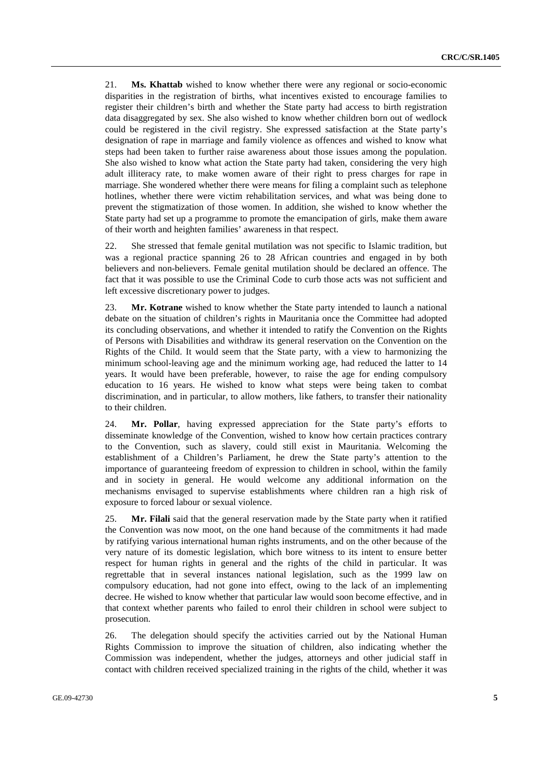21. **Ms. Khattab** wished to know whether there were any regional or socio-economic disparities in the registration of births, what incentives existed to encourage families to register their children's birth and whether the State party had access to birth registration data disaggregated by sex. She also wished to know whether children born out of wedlock could be registered in the civil registry. She expressed satisfaction at the State party's designation of rape in marriage and family violence as offences and wished to know what steps had been taken to further raise awareness about those issues among the population. She also wished to know what action the State party had taken, considering the very high adult illiteracy rate, to make women aware of their right to press charges for rape in marriage. She wondered whether there were means for filing a complaint such as telephone hotlines, whether there were victim rehabilitation services, and what was being done to prevent the stigmatization of those women. In addition, she wished to know whether the State party had set up a programme to promote the emancipation of girls, make them aware of their worth and heighten families' awareness in that respect.

22. She stressed that female genital mutilation was not specific to Islamic tradition, but was a regional practice spanning 26 to 28 African countries and engaged in by both believers and non-believers. Female genital mutilation should be declared an offence. The fact that it was possible to use the Criminal Code to curb those acts was not sufficient and left excessive discretionary power to judges.

23. **Mr. Kotrane** wished to know whether the State party intended to launch a national debate on the situation of children's rights in Mauritania once the Committee had adopted its concluding observations, and whether it intended to ratify the Convention on the Rights of Persons with Disabilities and withdraw its general reservation on the Convention on the Rights of the Child. It would seem that the State party, with a view to harmonizing the minimum school-leaving age and the minimum working age, had reduced the latter to 14 years. It would have been preferable, however, to raise the age for ending compulsory education to 16 years. He wished to know what steps were being taken to combat discrimination, and in particular, to allow mothers, like fathers, to transfer their nationality to their children.

24. **Mr. Pollar**, having expressed appreciation for the State party's efforts to disseminate knowledge of the Convention, wished to know how certain practices contrary to the Convention, such as slavery, could still exist in Mauritania. Welcoming the establishment of a Children's Parliament, he drew the State party's attention to the importance of guaranteeing freedom of expression to children in school, within the family and in society in general. He would welcome any additional information on the mechanisms envisaged to supervise establishments where children ran a high risk of exposure to forced labour or sexual violence.

25. **Mr. Filali** said that the general reservation made by the State party when it ratified the Convention was now moot, on the one hand because of the commitments it had made by ratifying various international human rights instruments, and on the other because of the very nature of its domestic legislation, which bore witness to its intent to ensure better respect for human rights in general and the rights of the child in particular. It was regrettable that in several instances national legislation, such as the 1999 law on compulsory education, had not gone into effect, owing to the lack of an implementing decree. He wished to know whether that particular law would soon become effective, and in that context whether parents who failed to enrol their children in school were subject to prosecution.

26. The delegation should specify the activities carried out by the National Human Rights Commission to improve the situation of children, also indicating whether the Commission was independent, whether the judges, attorneys and other judicial staff in contact with children received specialized training in the rights of the child, whether it was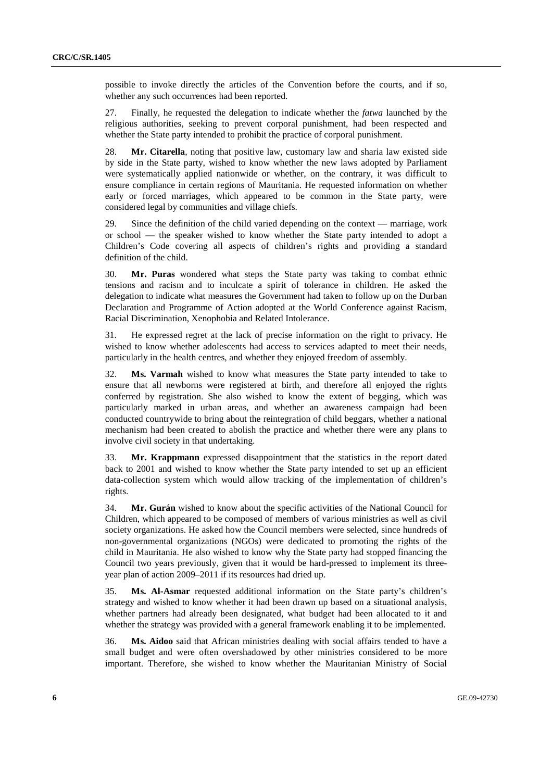possible to invoke directly the articles of the Convention before the courts, and if so, whether any such occurrences had been reported.

27. Finally, he requested the delegation to indicate whether the *fatwa* launched by the religious authorities, seeking to prevent corporal punishment, had been respected and whether the State party intended to prohibit the practice of corporal punishment.

28. **Mr. Citarella**, noting that positive law, customary law and sharia law existed side by side in the State party, wished to know whether the new laws adopted by Parliament were systematically applied nationwide or whether, on the contrary, it was difficult to ensure compliance in certain regions of Mauritania. He requested information on whether early or forced marriages, which appeared to be common in the State party, were considered legal by communities and village chiefs.

29. Since the definition of the child varied depending on the context — marriage, work or school — the speaker wished to know whether the State party intended to adopt a Children's Code covering all aspects of children's rights and providing a standard definition of the child.

30. **Mr. Puras** wondered what steps the State party was taking to combat ethnic tensions and racism and to inculcate a spirit of tolerance in children. He asked the delegation to indicate what measures the Government had taken to follow up on the Durban Declaration and Programme of Action adopted at the World Conference against Racism, Racial Discrimination, Xenophobia and Related Intolerance.

31. He expressed regret at the lack of precise information on the right to privacy. He wished to know whether adolescents had access to services adapted to meet their needs, particularly in the health centres, and whether they enjoyed freedom of assembly.

32. **Ms. Varmah** wished to know what measures the State party intended to take to ensure that all newborns were registered at birth, and therefore all enjoyed the rights conferred by registration. She also wished to know the extent of begging, which was particularly marked in urban areas, and whether an awareness campaign had been conducted countrywide to bring about the reintegration of child beggars, whether a national mechanism had been created to abolish the practice and whether there were any plans to involve civil society in that undertaking.

33. **Mr. Krappmann** expressed disappointment that the statistics in the report dated back to 2001 and wished to know whether the State party intended to set up an efficient data-collection system which would allow tracking of the implementation of children's rights.

34. **Mr. Gurán** wished to know about the specific activities of the National Council for Children, which appeared to be composed of members of various ministries as well as civil society organizations. He asked how the Council members were selected, since hundreds of non-governmental organizations (NGOs) were dedicated to promoting the rights of the child in Mauritania. He also wished to know why the State party had stopped financing the Council two years previously, given that it would be hard-pressed to implement its threeyear plan of action 2009–2011 if its resources had dried up.

35. **Ms. Al-Asmar** requested additional information on the State party's children's strategy and wished to know whether it had been drawn up based on a situational analysis, whether partners had already been designated, what budget had been allocated to it and whether the strategy was provided with a general framework enabling it to be implemented.

36. **Ms. Aidoo** said that African ministries dealing with social affairs tended to have a small budget and were often overshadowed by other ministries considered to be more important. Therefore, she wished to know whether the Mauritanian Ministry of Social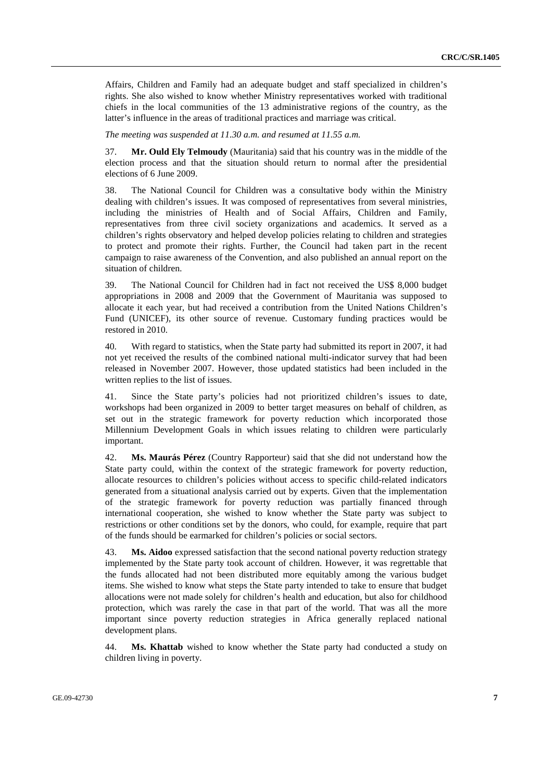Affairs, Children and Family had an adequate budget and staff specialized in children's rights. She also wished to know whether Ministry representatives worked with traditional chiefs in the local communities of the 13 administrative regions of the country, as the latter's influence in the areas of traditional practices and marriage was critical.

*The meeting was suspended at 11.30 a.m. and resumed at 11.55 a.m.* 

37. **Mr. Ould Ely Telmoudy** (Mauritania) said that his country was in the middle of the election process and that the situation should return to normal after the presidential elections of 6 June 2009.

38. The National Council for Children was a consultative body within the Ministry dealing with children's issues. It was composed of representatives from several ministries, including the ministries of Health and of Social Affairs, Children and Family, representatives from three civil society organizations and academics. It served as a children's rights observatory and helped develop policies relating to children and strategies to protect and promote their rights. Further, the Council had taken part in the recent campaign to raise awareness of the Convention, and also published an annual report on the situation of children.

39. The National Council for Children had in fact not received the US\$ 8,000 budget appropriations in 2008 and 2009 that the Government of Mauritania was supposed to allocate it each year, but had received a contribution from the United Nations Children's Fund (UNICEF), its other source of revenue. Customary funding practices would be restored in 2010.

40. With regard to statistics, when the State party had submitted its report in 2007, it had not yet received the results of the combined national multi-indicator survey that had been released in November 2007. However, those updated statistics had been included in the written replies to the list of issues.

41. Since the State party's policies had not prioritized children's issues to date, workshops had been organized in 2009 to better target measures on behalf of children, as set out in the strategic framework for poverty reduction which incorporated those Millennium Development Goals in which issues relating to children were particularly important.

42. **Ms. Maurás Pérez** (Country Rapporteur) said that she did not understand how the State party could, within the context of the strategic framework for poverty reduction, allocate resources to children's policies without access to specific child-related indicators generated from a situational analysis carried out by experts. Given that the implementation of the strategic framework for poverty reduction was partially financed through international cooperation, she wished to know whether the State party was subject to restrictions or other conditions set by the donors, who could, for example, require that part of the funds should be earmarked for children's policies or social sectors.

43. **Ms. Aidoo** expressed satisfaction that the second national poverty reduction strategy implemented by the State party took account of children. However, it was regrettable that the funds allocated had not been distributed more equitably among the various budget items. She wished to know what steps the State party intended to take to ensure that budget allocations were not made solely for children's health and education, but also for childhood protection, which was rarely the case in that part of the world. That was all the more important since poverty reduction strategies in Africa generally replaced national development plans.

44. **Ms. Khattab** wished to know whether the State party had conducted a study on children living in poverty.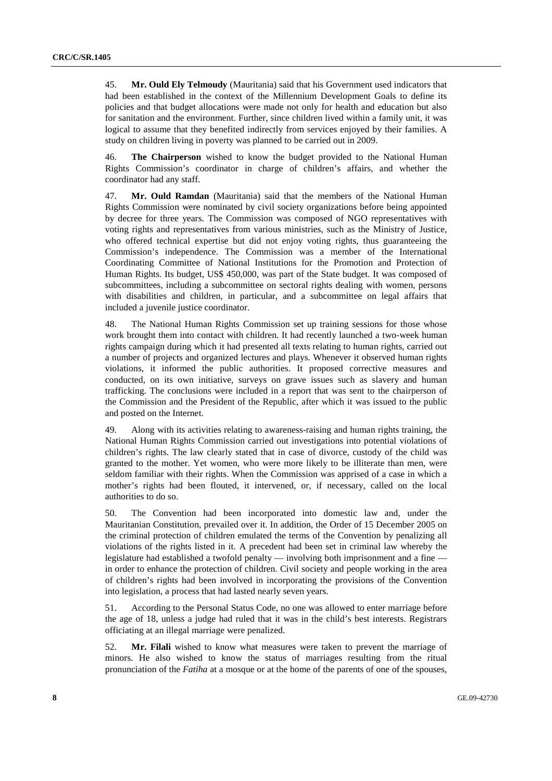45. **Mr. Ould Ely Telmoudy** (Mauritania) said that his Government used indicators that had been established in the context of the Millennium Development Goals to define its policies and that budget allocations were made not only for health and education but also for sanitation and the environment. Further, since children lived within a family unit, it was logical to assume that they benefited indirectly from services enjoyed by their families. A study on children living in poverty was planned to be carried out in 2009.

46. **The Chairperson** wished to know the budget provided to the National Human Rights Commission's coordinator in charge of children's affairs, and whether the coordinator had any staff.

47. **Mr. Ould Ramdan** (Mauritania) said that the members of the National Human Rights Commission were nominated by civil society organizations before being appointed by decree for three years. The Commission was composed of NGO representatives with voting rights and representatives from various ministries, such as the Ministry of Justice, who offered technical expertise but did not enjoy voting rights, thus guaranteeing the Commission's independence. The Commission was a member of the International Coordinating Committee of National Institutions for the Promotion and Protection of Human Rights. Its budget, US\$ 450,000, was part of the State budget. It was composed of subcommittees, including a subcommittee on sectoral rights dealing with women, persons with disabilities and children, in particular, and a subcommittee on legal affairs that included a juvenile justice coordinator.

48. The National Human Rights Commission set up training sessions for those whose work brought them into contact with children. It had recently launched a two-week human rights campaign during which it had presented all texts relating to human rights, carried out a number of projects and organized lectures and plays. Whenever it observed human rights violations, it informed the public authorities. It proposed corrective measures and conducted, on its own initiative, surveys on grave issues such as slavery and human trafficking. The conclusions were included in a report that was sent to the chairperson of the Commission and the President of the Republic, after which it was issued to the public and posted on the Internet.

49. Along with its activities relating to awareness-raising and human rights training, the National Human Rights Commission carried out investigations into potential violations of children's rights. The law clearly stated that in case of divorce, custody of the child was granted to the mother. Yet women, who were more likely to be illiterate than men, were seldom familiar with their rights. When the Commission was apprised of a case in which a mother's rights had been flouted, it intervened, or, if necessary, called on the local authorities to do so.

50. The Convention had been incorporated into domestic law and, under the Mauritanian Constitution, prevailed over it. In addition, the Order of 15 December 2005 on the criminal protection of children emulated the terms of the Convention by penalizing all violations of the rights listed in it. A precedent had been set in criminal law whereby the legislature had established a twofold penalty — involving both imprisonment and a fine in order to enhance the protection of children. Civil society and people working in the area of children's rights had been involved in incorporating the provisions of the Convention into legislation, a process that had lasted nearly seven years.

51. According to the Personal Status Code, no one was allowed to enter marriage before the age of 18, unless a judge had ruled that it was in the child's best interests. Registrars officiating at an illegal marriage were penalized.

52. **Mr. Filali** wished to know what measures were taken to prevent the marriage of minors. He also wished to know the status of marriages resulting from the ritual pronunciation of the *Fatiha* at a mosque or at the home of the parents of one of the spouses,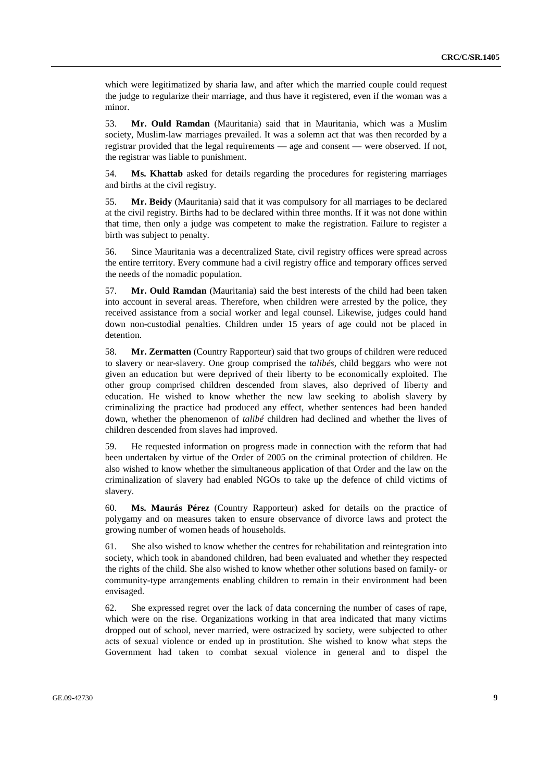which were legitimatized by sharia law, and after which the married couple could request the judge to regularize their marriage, and thus have it registered, even if the woman was a minor.

53. **Mr. Ould Ramdan** (Mauritania) said that in Mauritania, which was a Muslim society, Muslim-law marriages prevailed. It was a solemn act that was then recorded by a registrar provided that the legal requirements — age and consent — were observed. If not, the registrar was liable to punishment.

54. **Ms. Khattab** asked for details regarding the procedures for registering marriages and births at the civil registry.

55. **Mr. Beidy** (Mauritania) said that it was compulsory for all marriages to be declared at the civil registry. Births had to be declared within three months. If it was not done within that time, then only a judge was competent to make the registration. Failure to register a birth was subject to penalty.

56. Since Mauritania was a decentralized State, civil registry offices were spread across the entire territory. Every commune had a civil registry office and temporary offices served the needs of the nomadic population.

57. **Mr. Ould Ramdan** (Mauritania) said the best interests of the child had been taken into account in several areas. Therefore, when children were arrested by the police, they received assistance from a social worker and legal counsel. Likewise, judges could hand down non-custodial penalties. Children under 15 years of age could not be placed in detention.

58. **Mr. Zermatten** (Country Rapporteur) said that two groups of children were reduced to slavery or near-slavery. One group comprised the *talibés*, child beggars who were not given an education but were deprived of their liberty to be economically exploited. The other group comprised children descended from slaves, also deprived of liberty and education. He wished to know whether the new law seeking to abolish slavery by criminalizing the practice had produced any effect, whether sentences had been handed down, whether the phenomenon of *talibé* children had declined and whether the lives of children descended from slaves had improved.

59. He requested information on progress made in connection with the reform that had been undertaken by virtue of the Order of 2005 on the criminal protection of children. He also wished to know whether the simultaneous application of that Order and the law on the criminalization of slavery had enabled NGOs to take up the defence of child victims of slavery.

60. **Ms. Maurás Pérez** (Country Rapporteur) asked for details on the practice of polygamy and on measures taken to ensure observance of divorce laws and protect the growing number of women heads of households.

61. She also wished to know whether the centres for rehabilitation and reintegration into society, which took in abandoned children, had been evaluated and whether they respected the rights of the child. She also wished to know whether other solutions based on family- or community-type arrangements enabling children to remain in their environment had been envisaged.

62. She expressed regret over the lack of data concerning the number of cases of rape, which were on the rise. Organizations working in that area indicated that many victims dropped out of school, never married, were ostracized by society, were subjected to other acts of sexual violence or ended up in prostitution. She wished to know what steps the Government had taken to combat sexual violence in general and to dispel the